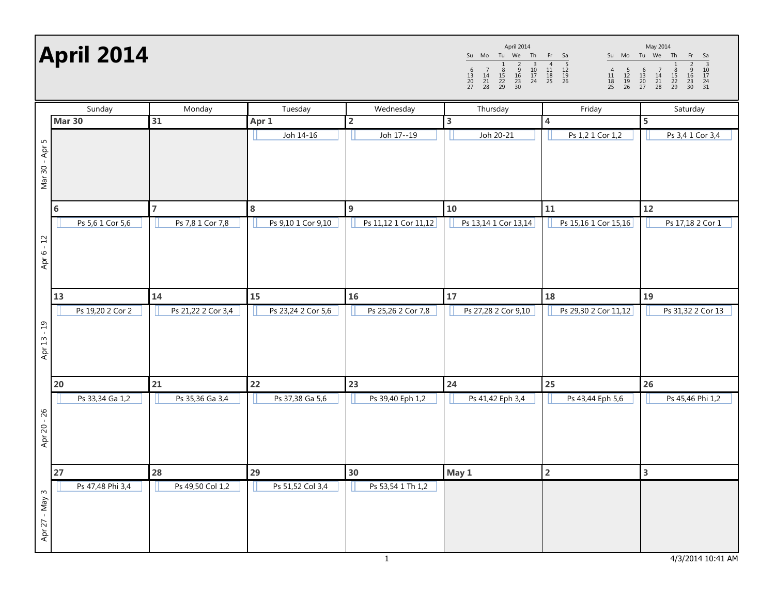April 2014

| Su                  | Mo             | Tu                  | We                  | Th             | Fr             | Sa                  | Su             |
|---------------------|----------------|---------------------|---------------------|----------------|----------------|---------------------|----------------|
| 6<br>13<br>20<br>27 | 14<br>21<br>28 | 8<br>15<br>22<br>29 | 9<br>16<br>23<br>30 | 10<br>17<br>24 | 11<br>18<br>25 | 5<br>12<br>19<br>26 | 11<br>18<br>25 |

Su Mo Tu We Th Fr Sa <sup>1</sup> <sup>2</sup> <sup>3</sup> <sup>4</sup> <sup>5</sup> <sup>6</sup> <sup>7</sup> <sup>8</sup> <sup>9</sup> <sup>10</sup> <sup>11</sup> <sup>12</sup> <sup>13</sup> <sup>14</sup> <sup>15</sup> <sup>16</sup> <sup>17</sup> <sup>18</sup> <sup>19</sup> <sup>20</sup> <sup>21</sup> <sup>22</sup> <sup>23</sup> <sup>24</sup> <sup>25</sup> <sup>26</sup> <sup>27</sup> <sup>28</sup> <sup>29</sup> <sup>30</sup> <sup>31</sup> May 2014

|                | Sunday           | Monday             | Tuesday            | Wednesday            | Thursday             | Friday                  | Saturday                |  |
|----------------|------------------|--------------------|--------------------|----------------------|----------------------|-------------------------|-------------------------|--|
| <b>Mar 30</b>  |                  | 31                 | Apr 1              | $\overline{2}$       | 3                    | 4                       | 5                       |  |
| Mar 30 - Apr 5 |                  |                    | Joh 14-16          | Joh 17--19           | Joh 20-21            | Ps 1,2 1 Cor 1,2        | Ps 3,4 1 Cor 3,4        |  |
|                | 6                | $\overline{7}$     | 8                  | $9$                  | 10                   | 11                      | 12                      |  |
| Apr 6 - 12     | Ps 5,6 1 Cor 5,6 | Ps 7,8 1 Cor 7,8   | Ps 9,10 1 Cor 9,10 | Ps 11,12 1 Cor 11,12 | Ps 13,14 1 Cor 13,14 | Ps 15,16 1 Cor 15,16    | Ps 17,18 2 Cor 1        |  |
|                | 13               | 14                 | 15                 | 16                   | 17                   | 18                      | 19                      |  |
| Apr 13 - 19    | Ps 19,20 2 Cor 2 | Ps 21,22 2 Cor 3,4 | Ps 23,24 2 Cor 5,6 | Ps 25,26 2 Cor 7,8   | Ps 27,28 2 Cor 9,10  | Ps 29,30 2 Cor 11,12    | Ps 31,32 2 Cor 13       |  |
|                | 20               | 21                 | 22                 | 23                   | 24                   | 25                      | 26                      |  |
| Apr 20 - 26    | Ps 33,34 Ga 1,2  | Ps 35,36 Ga 3,4    | Ps 37,38 Ga 5,6    | Ps 39,40 Eph 1,2     | Ps 41,42 Eph 3,4     | Ps 43,44 Eph 5,6        | Ps 45,46 Phi 1,2        |  |
|                | 27               | 28                 | 29                 | 30                   | May 1                | $\overline{\mathbf{2}}$ | $\overline{\mathbf{3}}$ |  |
| Apr 27 - May 3 | Ps 47,48 Phi 3,4 | Ps 49,50 Col 1,2   | Ps 51,52 Col 3,4   | Ps 53,54 1 Th 1,2    |                      |                         |                         |  |

1